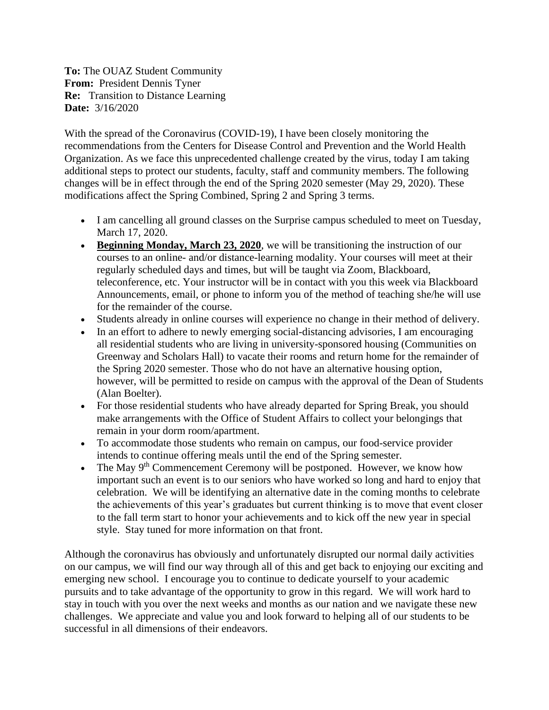**To:** The OUAZ Student Community **From:** President Dennis Tyner **Re:** Transition to Distance Learning **Date:** 3/16/2020

With the spread of the Coronavirus (COVID-19), I have been closely monitoring the recommendations from the Centers for Disease Control and Prevention and the World Health Organization. As we face this unprecedented challenge created by the virus, today I am taking additional steps to protect our students, faculty, staff and community members. The following changes will be in effect through the end of the Spring 2020 semester (May 29, 2020). These modifications affect the Spring Combined, Spring 2 and Spring 3 terms.

- I am cancelling all ground classes on the Surprise campus scheduled to meet on Tuesday, March 17, 2020.
- **Beginning Monday, March 23, 2020**, we will be transitioning the instruction of our courses to an online- and/or distance-learning modality. Your courses will meet at their regularly scheduled days and times, but will be taught via Zoom, Blackboard, teleconference, etc. Your instructor will be in contact with you this week via Blackboard Announcements, email, or phone to inform you of the method of teaching she/he will use for the remainder of the course.
- Students already in online courses will experience no change in their method of delivery.
- In an effort to adhere to newly emerging social-distancing advisories, I am encouraging all residential students who are living in university-sponsored housing (Communities on Greenway and Scholars Hall) to vacate their rooms and return home for the remainder of the Spring 2020 semester. Those who do not have an alternative housing option, however, will be permitted to reside on campus with the approval of the Dean of Students (Alan Boelter).
- For those residential students who have already departed for Spring Break, you should make arrangements with the Office of Student Affairs to collect your belongings that remain in your dorm room/apartment.
- To accommodate those students who remain on campus, our food-service provider intends to continue offering meals until the end of the Spring semester.
- The May  $9<sup>th</sup>$  Commencement Ceremony will be postponed. However, we know how important such an event is to our seniors who have worked so long and hard to enjoy that celebration. We will be identifying an alternative date in the coming months to celebrate the achievements of this year's graduates but current thinking is to move that event closer to the fall term start to honor your achievements and to kick off the new year in special style. Stay tuned for more information on that front.

Although the coronavirus has obviously and unfortunately disrupted our normal daily activities on our campus, we will find our way through all of this and get back to enjoying our exciting and emerging new school. I encourage you to continue to dedicate yourself to your academic pursuits and to take advantage of the opportunity to grow in this regard. We will work hard to stay in touch with you over the next weeks and months as our nation and we navigate these new challenges. We appreciate and value you and look forward to helping all of our students to be successful in all dimensions of their endeavors.